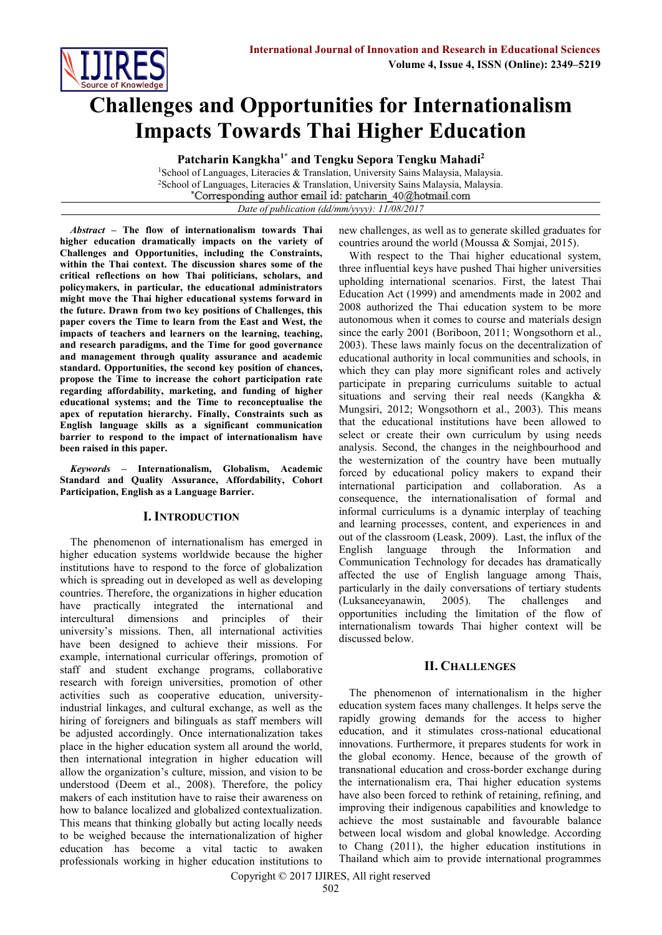

# **Challenges and Opportunities for Internationalism Impacts Towards Thai Higher Education**

**Patcharin Kangkha1\* and Tengku Sepora Tengku Mahadi<sup>2</sup>**

<sup>1</sup>School of Languages, Literacies & Translation, University Sains Malaysia, Malaysia. <sup>2</sup>School of Languages, Literacies & Translation, University Sains Malaysia, Malaysia. Corresponding author email id: patcharin 40@hotmail.com

*Date of publication (dd/mm/yyyy): 11/08/2017*

*Abstract* **– The flow of internationalism towards Thai higher education dramatically impacts on the variety of Challenges and Opportunities, including the Constraints, within the Thai context. The discussion shares some of the critical reflections on how Thai politicians, scholars, and policymakers, in particular, the educational administrators might move the Thai higher educational systems forward in the future. Drawn from two key positions of Challenges, this paper covers the Time to learn from the East and West, the impacts of teachers and learners on the learning, teaching, and research paradigms, and the Time for good governance and management through quality assurance and academic standard. Opportunities, the second key position of chances, propose the Time to increase the cohort participation rate regarding affordability, marketing, and funding of higher educational systems; and the Time to reconceptualise the apex of reputation hierarchy. Finally, Constraints such as English language skills as a significant communication barrier to respond to the impact of internationalism have been raised in this paper.** 

*Keywords* **– Internationalism, Globalism, Academic Standard and Quality Assurance, Affordability, Cohort Participation, English as a Language Barrier.**

## **I. INTRODUCTION**

The phenomenon of internationalism has emerged in higher education systems worldwide because the higher institutions have to respond to the force of globalization which is spreading out in developed as well as developing countries. Therefore, the organizations in higher education have practically integrated the international and intercultural dimensions and principles of their university's missions. Then, all international activities have been designed to achieve their missions. For example, international curricular offerings, promotion of staff and student exchange programs, collaborative research with foreign universities, promotion of other activities such as cooperative education, universityindustrial linkages, and cultural exchange, as well as the hiring of foreigners and bilinguals as staff members will be adjusted accordingly. Once internationalization takes place in the higher education system all around the world, then international integration in higher education will allow the organization's culture, mission, and vision to be understood (Deem et al., 2008). Therefore, the policy makers of each institution have to raise their awareness on how to balance localized and globalized contextualization. This means that thinking globally but acting locally needs to be weighed because the internationalization of higher education has become a vital tactic to awaken professionals working in higher education institutions to

new challenges, as well as to generate skilled graduates for countries around the world (Moussa & Somjai, 2015).

With respect to the Thai higher educational system, three influential keys have pushed Thai higher universities upholding international scenarios. First, the latest Thai Education Act (1999) and amendments made in 2002 and 2008 authorized the Thai education system to be more autonomous when it comes to course and materials design since the early 2001 (Boriboon, 2011; Wongsothorn et al., 2003). These laws mainly focus on the decentralization of educational authority in local communities and schools, in which they can play more significant roles and actively participate in preparing curriculums suitable to actual situations and serving their real needs (Kangkha & Mungsiri, 2012; Wongsothorn et al., 2003). This means that the educational institutions have been allowed to select or create their own curriculum by using needs analysis. Second, the changes in the neighbourhood and the westernization of the country have been mutually forced by educational policy makers to expand their international participation and collaboration. As a consequence, the internationalisation of formal and informal curriculums is a dynamic interplay of teaching and learning processes, content, and experiences in and out of the classroom [\(Leask,](http://jsi.sagepub.com/search?author1=Betty+Leask&sortspec=date&submit=Submit) 2009). Last, the influx of the English language through the Information and Communication Technology for decades has dramatically affected the use of English language among Thais, particularly in the daily conversations of tertiary students (Luksaneeyanawin, 2005). The challenges and opportunities including the limitation of the flow of internationalism towards Thai higher context will be discussed below.

## **II. CHALLENGES**

The phenomenon of internationalism in the higher education system faces many challenges. It helps serve the rapidly growing demands for the access to higher education, and it stimulates cross-national educational innovations. Furthermore, it prepares students for work in the global economy. Hence, because of the growth of transnational education and cross-border exchange during the internationalism era, Thai higher education systems have also been forced to rethink of retaining, refining, and improving their indigenous capabilities and knowledge to achieve the most sustainable and favourable balance between local wisdom and global knowledge. According to Chang (2011), the higher education institutions in Thailand which aim to provide international programmes

Copyright © 2017 IJIRES, All right reserved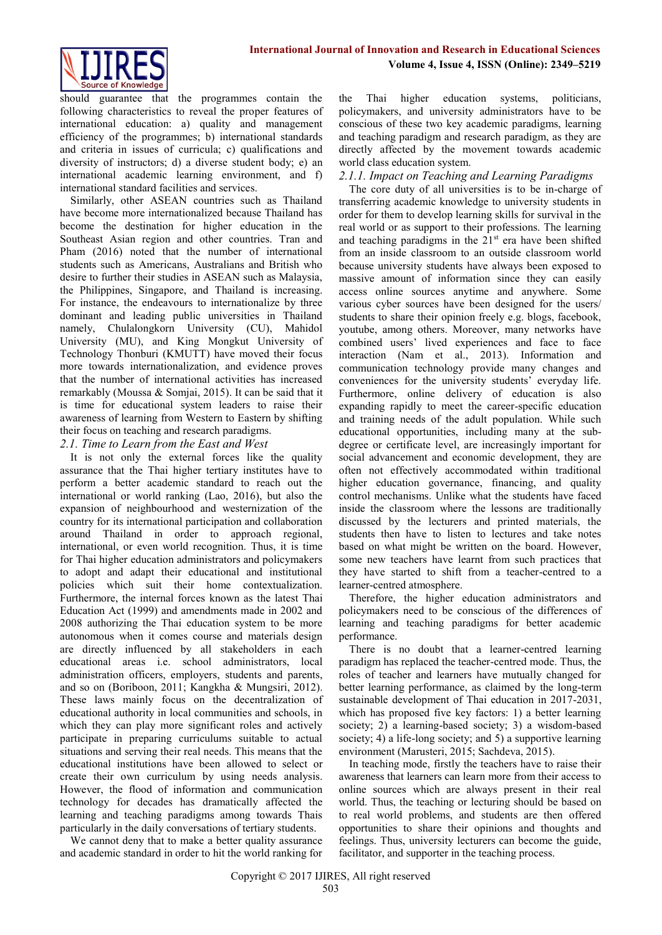

should guarantee that the programmes contain the following characteristics to reveal the proper features of international education: a) quality and management efficiency of the programmes; b) international standards and criteria in issues of curricula; c) qualifications and diversity of instructors; d) a diverse student body; e) an international academic learning environment, and f) international standard facilities and services.

Similarly, other ASEAN countries such as Thailand have become more internationalized because Thailand has become the destination for higher education in the Southeast Asian region and other countries. Tran and Pham (2016) noted that the number of international students such as Americans, Australians and British who desire to further their studies in ASEAN such as Malaysia, the Philippines, Singapore, and Thailand is increasing. For instance, the endeavours to internationalize by three dominant and leading public universities in Thailand namely, Chulalongkorn University (CU), Mahidol University (MU), and King Mongkut University of Technology Thonburi (KMUTT) have moved their focus more towards internationalization, and evidence proves that the number of international activities has increased remarkably (Moussa & Somjai, 2015). It can be said that it is time for educational system leaders to raise their awareness of learning from Western to Eastern by shifting their focus on teaching and research paradigms.

## *2.1. Time to Learn from the East and West*

It is not only the external forces like the quality assurance that the Thai higher tertiary institutes have to perform a better academic standard to reach out the international or world ranking (Lao, 2016), but also the expansion of neighbourhood and westernization of the country for its international participation and collaboration around Thailand in order to approach regional, international, or even world recognition. Thus, it is time for Thai higher education administrators and policymakers to adopt and adapt their educational and institutional policies which suit their home contextualization. Furthermore, the internal forces known as the latest Thai Education Act (1999) and amendments made in 2002 and 2008 authorizing the Thai education system to be more autonomous when it comes course and materials design are directly influenced by all stakeholders in each educational areas i.e. school administrators, local administration officers, employers, students and parents, and so on (Boriboon, 2011; Kangkha & Mungsiri, 2012). These laws mainly focus on the decentralization of educational authority in local communities and schools, in which they can play more significant roles and actively participate in preparing curriculums suitable to actual situations and serving their real needs. This means that the educational institutions have been allowed to select or create their own curriculum by using needs analysis. However, the flood of information and communication technology for decades has dramatically affected the learning and teaching paradigms among towards Thais particularly in the daily conversations of tertiary students.

We cannot deny that to make a better quality assurance and academic standard in order to hit the world ranking for

the Thai higher education systems, politicians, policymakers, and university administrators have to be conscious of these two key academic paradigms, learning and teaching paradigm and research paradigm, as they are directly affected by the movement towards academic world class education system.

## *2.1.1. Impact on Teaching and Learning Paradigms*

The core duty of all universities is to be in-charge of transferring academic knowledge to university students in order for them to develop learning skills for survival in the real world or as support to their professions. The learning and teaching paradigms in the  $21<sup>st</sup>$  era have been shifted from an inside classroom to an outside classroom world because university students have always been exposed to massive amount of information since they can easily access online sources anytime and anywhere. Some various cyber sources have been designed for the users/ students to share their opinion freely e.g. blogs, facebook, youtube, among others. Moreover, many networks have combined users' lived experiences and face to face interaction (Nam et al., 2013). Information and communication technology provide many changes and conveniences for the university students' everyday life. Furthermore, online delivery of education is also expanding rapidly to meet the career-specific education and training needs of the adult population. While such educational opportunities, including many at the subdegree or certificate level, are increasingly important for social advancement and economic development, they are often not effectively accommodated within traditional higher education governance, financing, and quality control mechanisms. Unlike what the students have faced inside the classroom where the lessons are traditionally discussed by the lecturers and printed materials, the students then have to listen to lectures and take notes based on what might be written on the board. However, some new teachers have learnt from such practices that they have started to shift from a teacher-centred to a learner-centred atmosphere.

Therefore, the higher education administrators and policymakers need to be conscious of the differences of learning and teaching paradigms for better academic performance.

There is no doubt that a learner-centred learning paradigm has replaced the teacher-centred mode. Thus, the roles of teacher and learners have mutually changed for better learning performance, as claimed by the long-term sustainable development of Thai education in 2017-2031, which has proposed five key factors: 1) a better learning society; 2) a learning-based society; 3) a wisdom-based society; 4) a life-long society; and 5) a supportive learning environment (Marusteri, 2015; Sachdeva, 2015).

In teaching mode, firstly the teachers have to raise their awareness that learners can learn more from their access to online sources which are always present in their real world. Thus, the teaching or lecturing should be based on to real world problems, and students are then offered opportunities to share their opinions and thoughts and feelings. Thus, university lecturers can become the guide, facilitator, and supporter in the teaching process.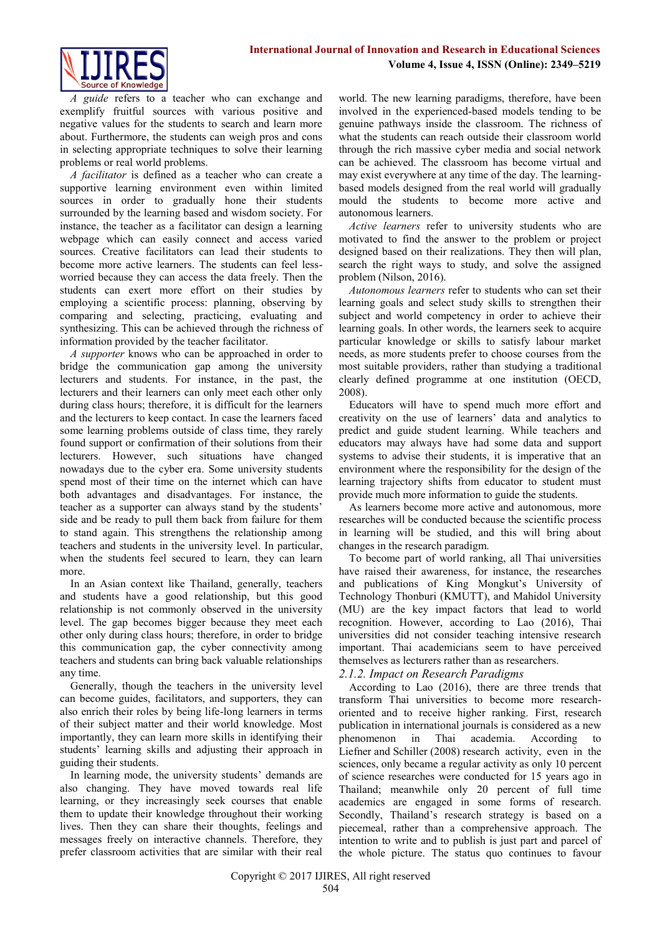

*A guide* refers to a teacher who can exchange and exemplify fruitful sources with various positive and negative values for the students to search and learn more about. Furthermore, the students can weigh pros and cons in selecting appropriate techniques to solve their learning problems or real world problems.

*A facilitator* is defined as a teacher who can create a supportive learning environment even within limited sources in order to gradually hone their students surrounded by the learning based and wisdom society. For instance, the teacher as a facilitator can design a learning webpage which can easily connect and access varied sources. Creative facilitators can lead their students to become more active learners. The students can feel lessworried because they can access the data freely. Then the students can exert more effort on their studies by employing a scientific process: planning, observing by comparing and selecting, practicing, evaluating and synthesizing. This can be achieved through the richness of information provided by the teacher facilitator.

*A supporter* knows who can be approached in order to bridge the communication gap among the university lecturers and students. For instance, in the past, the lecturers and their learners can only meet each other only during class hours; therefore, it is difficult for the learners and the lecturers to keep contact. In case the learners faced some learning problems outside of class time, they rarely found support or confirmation of their solutions from their lecturers. However, such situations have changed nowadays due to the cyber era. Some university students spend most of their time on the internet which can have both advantages and disadvantages. For instance, the teacher as a supporter can always stand by the students' side and be ready to pull them back from failure for them to stand again. This strengthens the relationship among teachers and students in the university level. In particular, when the students feel secured to learn, they can learn more.

In an Asian context like Thailand, generally, teachers and students have a good relationship, but this good relationship is not commonly observed in the university level. The gap becomes bigger because they meet each other only during class hours; therefore, in order to bridge this communication gap, the cyber connectivity among teachers and students can bring back valuable relationships any time.

Generally, though the teachers in the university level can become guides, facilitators, and supporters, they can also enrich their roles by being life-long learners in terms of their subject matter and their world knowledge. Most importantly, they can learn more skills in identifying their students' learning skills and adjusting their approach in guiding their students.

In learning mode, the university students' demands are also changing. They have moved towards real life learning, or they increasingly seek courses that enable them to update their knowledge throughout their working lives. Then they can share their thoughts, feelings and messages freely on interactive channels. Therefore, they prefer classroom activities that are similar with their real world. The new learning paradigms, therefore, have been involved in the experienced-based models tending to be genuine pathways inside the classroom. The richness of what the students can reach outside their classroom world through the rich massive cyber media and social network can be achieved. The classroom has become virtual and may exist everywhere at any time of the day. The learningbased models designed from the real world will gradually mould the students to become more active and autonomous learners.

*Active learners* refer to university students who are motivated to find the answer to the problem or project designed based on their realizations. They then will plan, search the right ways to study, and solve the assigned problem (Nilson, 2016).

*Autonomous learners* refer to students who can set their learning goals and select study skills to strengthen their subject and world competency in order to achieve their learning goals. In other words, the learners seek to acquire particular knowledge or skills to satisfy labour market needs, as more students prefer to choose courses from the most suitable providers, rather than studying a traditional clearly defined programme at one institution (OECD, 2008).

Educators will have to spend much more effort and creativity on the use of learners' data and analytics to predict and guide student learning. While teachers and educators may always have had some data and support systems to advise their students, it is imperative that an environment where the responsibility for the design of the learning trajectory shifts from educator to student must provide much more information to guide the students.

As learners become more active and autonomous, more researches will be conducted because the scientific process in learning will be studied, and this will bring about changes in the research paradigm.

To become part of world ranking, all Thai universities have raised their awareness, for instance, the researches and publications of King Mongkut's University of Technology Thonburi (KMUTT), and Mahidol University (MU) are the key impact factors that lead to world recognition. However, according to Lao (2016), Thai universities did not consider teaching intensive research important. Thai academicians seem to have perceived themselves as lecturers rather than as researchers.

# *2.1.2. Impact on Research Paradigms*

According to Lao (2016), there are three trends that transform Thai universities to become more researchoriented and to receive higher ranking. First, research publication in international journals is considered as a new phenomenon in Thai academia. According to Liefner and Schiller (2008) research activity, even in the sciences, only became a regular activity as only 10 percent of science researches were conducted for 15 years ago in Thailand; meanwhile only 20 percent of full time academics are engaged in some forms of research. Secondly, Thailand's research strategy is based on a piecemeal, rather than a comprehensive approach. The intention to write and to publish is just part and parcel of the whole picture. The status quo continues to favour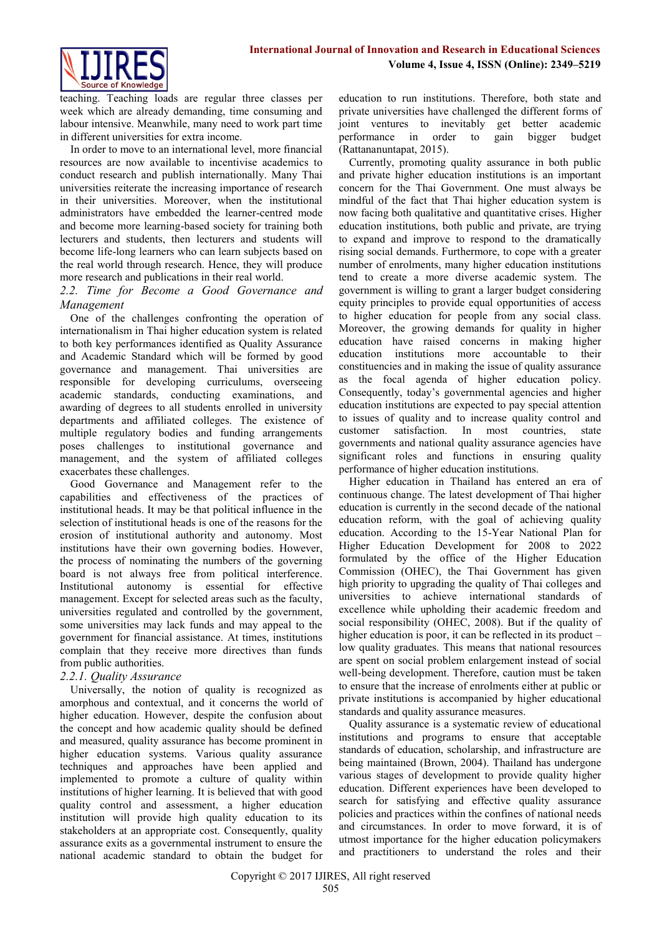

teaching. Teaching loads are regular three classes per week which are already demanding, time consuming and labour intensive. Meanwhile, many need to work part time in different universities for extra income.

In order to move to an international level, more financial resources are now available to incentivise academics to conduct research and publish internationally. Many Thai universities reiterate the increasing importance of research in their universities. Moreover, when the institutional administrators have embedded the learner-centred mode and become more learning-based society for training both lecturers and students, then lecturers and students will become life-long learners who can learn subjects based on the real world through research. Hence, they will produce more research and publications in their real world.

## *2.2. Time for Become a Good Governance and Management*

One of the challenges confronting the operation of internationalism in Thai higher education system is related to both key performances identified as Quality Assurance and Academic Standard which will be formed by good governance and management. Thai universities are responsible for developing curriculums, overseeing academic standards, conducting examinations, and awarding of degrees to all students enrolled in university departments and affiliated colleges. The existence of multiple regulatory bodies and funding arrangements poses challenges to institutional governance and management, and the system of affiliated colleges exacerbates these challenges.

Good Governance and Management refer to the capabilities and effectiveness of the practices of institutional heads. It may be that political influence in the selection of institutional heads is one of the reasons for the erosion of institutional authority and autonomy. Most institutions have their own governing bodies. However, the process of nominating the numbers of the governing board is not always free from political interference. Institutional autonomy is essential for effective management. Except for selected areas such as the faculty, universities regulated and controlled by the government, some universities may lack funds and may appeal to the government for financial assistance. At times, institutions complain that they receive more directives than funds from public authorities.

## *2.2.1. Quality Assurance*

Universally, the notion of quality is recognized as amorphous and contextual, and it concerns the world of higher education. However, despite the confusion about the concept and how academic quality should be defined and measured, quality assurance has become prominent in higher education systems. Various quality assurance techniques and approaches have been applied and implemented to promote a culture of quality within institutions of higher learning. It is believed that with good quality control and assessment, a higher education institution will provide high quality education to its stakeholders at an appropriate cost. Consequently, quality assurance exits as a governmental instrument to ensure the national academic standard to obtain the budget for

education to run institutions. Therefore, both state and private universities have challenged the different forms of joint ventures to inevitably get better academic performance in order to gain bigger budget (Rattananuntapat, 2015).

Currently, promoting quality assurance in both public and private higher education institutions is an important concern for the Thai Government. One must always be mindful of the fact that Thai higher education system is now facing both qualitative and quantitative crises. Higher education institutions, both public and private, are trying to expand and improve to respond to the dramatically rising social demands. Furthermore, to cope with a greater number of enrolments, many higher education institutions tend to create a more diverse academic system. The government is willing to grant a larger budget considering equity principles to provide equal opportunities of access to higher education for people from any social class. Moreover, the growing demands for quality in higher education have raised concerns in making higher education institutions more accountable to their constituencies and in making the issue of quality assurance as the focal agenda of higher education policy. Consequently, today's governmental agencies and higher education institutions are expected to pay special attention to issues of quality and to increase quality control and customer satisfaction. In most countries, state governments and national quality assurance agencies have significant roles and functions in ensuring quality performance of higher education institutions.

Higher education in Thailand has entered an era of continuous change. The latest development of Thai higher education is currently in the second decade of the national education reform, with the goal of achieving quality education. According to the 15-Year National Plan for Higher Education Development for 2008 to 2022 formulated by the office of the Higher Education Commission (OHEC), the Thai Government has given high priority to upgrading the quality of Thai colleges and universities to achieve international standards of excellence while upholding their academic freedom and social responsibility (OHEC, 2008). But if the quality of higher education is poor, it can be reflected in its product – low quality graduates. This means that national resources are spent on social problem enlargement instead of social well-being development. Therefore, caution must be taken to ensure that the increase of enrolments either at public or private institutions is accompanied by higher educational standards and quality assurance measures.

Quality assurance is a systematic review of educational institutions and programs to ensure that acceptable standards of education, scholarship, and infrastructure are being maintained (Brown, 2004). Thailand has undergone various stages of development to provide quality higher education. Different experiences have been developed to search for satisfying and effective quality assurance policies and practices within the confines of national needs and circumstances. In order to move forward, it is of utmost importance for the higher education policymakers and practitioners to understand the roles and their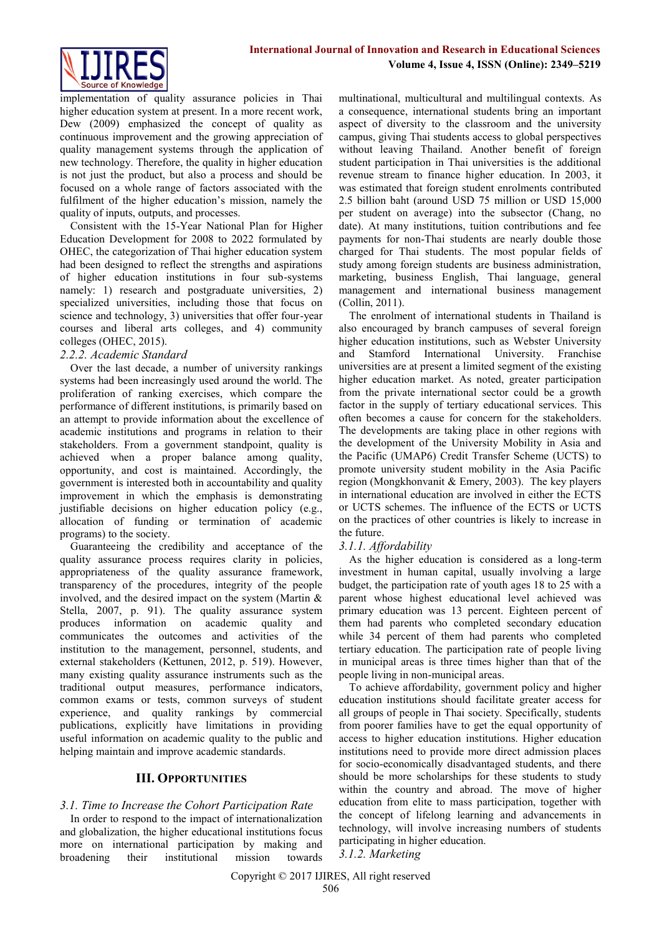

implementation of quality assurance policies in Thai higher education system at present. In a more recent work, Dew (2009) emphasized the concept of quality as continuous improvement and the growing appreciation of quality management systems through the application of new technology. Therefore, the quality in higher education is not just the product, but also a process and should be focused on a whole range of factors associated with the fulfilment of the higher education's mission, namely the quality of inputs, outputs, and processes.

Consistent with the 15-Year National Plan for Higher Education Development for 2008 to 2022 formulated by OHEC, the categorization of Thai higher education system had been designed to reflect the strengths and aspirations of higher education institutions in four sub-systems namely: 1) research and postgraduate universities, 2) specialized universities, including those that focus on science and technology, 3) universities that offer four-year courses and liberal arts colleges, and 4) community colleges (OHEC, 2015).

## *2.2.2. Academic Standard*

Over the last decade, a number of university rankings systems had been increasingly used around the world. The proliferation of ranking exercises, which compare the performance of different institutions, is primarily based on an attempt to provide information about the excellence of academic institutions and programs in relation to their stakeholders. From a government standpoint, quality is achieved when a proper balance among quality, opportunity, and cost is maintained. Accordingly, the government is interested both in accountability and quality improvement in which the emphasis is demonstrating justifiable decisions on higher education policy (e.g., allocation of funding or termination of academic programs) to the society.

Guaranteeing the credibility and acceptance of the quality assurance process requires clarity in policies, appropriateness of the quality assurance framework, transparency of the procedures, integrity of the people involved, and the desired impact on the system (Martin & Stella, 2007, p. 91). The quality assurance system produces information on academic quality and communicates the outcomes and activities of the institution to the management, personnel, students, and external stakeholders (Kettunen, 2012, p. 519). However, many existing quality assurance instruments such as the traditional output measures, performance indicators, common exams or tests, common surveys of student experience, and quality rankings by commercial publications, explicitly have limitations in providing useful information on academic quality to the public and helping maintain and improve academic standards.

## **III. OPPORTUNITIES**

## *3.1. Time to Increase the Cohort Participation Rate*

In order to respond to the impact of internationalization and globalization, the higher educational institutions focus more on international participation by making and broadening their institutional mission towards

multinational, multicultural and multilingual contexts. As a consequence, international students bring an important aspect of diversity to the classroom and the university campus, giving Thai students access to global perspectives without leaving Thailand. Another benefit of foreign student participation in Thai universities is the additional revenue stream to finance higher education. In 2003, it was estimated that foreign student enrolments contributed 2.5 billion baht (around USD 75 million or USD 15,000 per student on average) into the subsector (Chang, no date). At many institutions, tuition contributions and fee payments for non-Thai students are nearly double those charged for Thai students. The most popular fields of study among foreign students are business administration, marketing, business English, Thai language, general management and international business management (Collin, 2011).

The enrolment of international students in Thailand is also encouraged by branch campuses of several foreign higher education institutions, such as Webster University and Stamford International University. Franchise universities are at present a limited segment of the existing higher education market. As noted, greater participation from the private international sector could be a growth factor in the supply of tertiary educational services. This often becomes a cause for concern for the stakeholders. The developments are taking place in other regions with the development of the University Mobility in Asia and the Pacific (UMAP6) Credit Transfer Scheme (UCTS) to promote university student mobility in the Asia Pacific region (Mongkhonvanit & Emery, 2003). The key players in international education are involved in either the ECTS or UCTS schemes. The influence of the ECTS or UCTS on the practices of other countries is likely to increase in the future.

## *3.1.1. Affordability*

As the higher education is considered as a long-term investment in human capital, usually involving a large budget, the participation rate of youth ages 18 to 25 with a parent whose highest educational level achieved was primary education was 13 percent. Eighteen percent of them had parents who completed secondary education while 34 percent of them had parents who completed tertiary education. The participation rate of people living in municipal areas is three times higher than that of the people living in non-municipal areas.

To achieve affordability, government policy and higher education institutions should facilitate greater access for all groups of people in Thai society. Specifically, students from poorer families have to get the equal opportunity of access to higher education institutions. Higher education institutions need to provide more direct admission places for socio-economically disadvantaged students, and there should be more scholarships for these students to study within the country and abroad. The move of higher education from elite to mass participation, together with the concept of lifelong learning and advancements in technology, will involve increasing numbers of students participating in higher education.

*3.1.2. Marketing*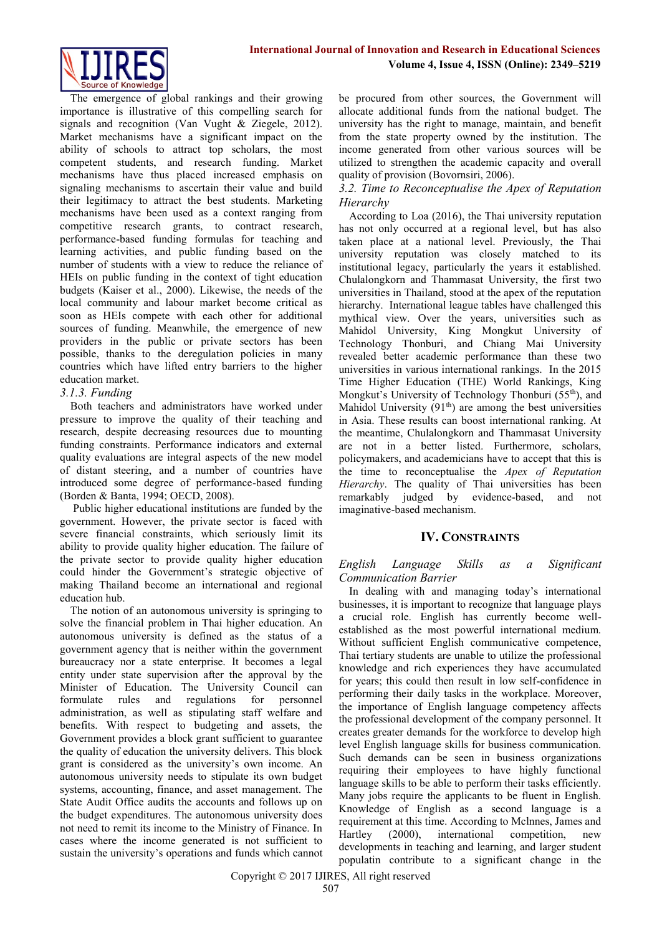

The emergence of global rankings and their growing importance is illustrative of this compelling search for signals and recognition (Van Vught & Ziegele, 2012). Market mechanisms have a significant impact on the ability of schools to attract top scholars, the most competent students, and research funding. Market mechanisms have thus placed increased emphasis on signaling mechanisms to ascertain their value and build their legitimacy to attract the best students. Marketing mechanisms have been used as a context ranging from competitive research grants, to contract research, performance-based funding formulas for teaching and learning activities, and public funding based on the number of students with a view to reduce the reliance of HEIs on public funding in the context of tight education budgets (Kaiser et al., 2000). Likewise, the needs of the local community and labour market become critical as soon as HEIs compete with each other for additional sources of funding. Meanwhile, the emergence of new providers in the public or private sectors has been possible, thanks to the deregulation policies in many countries which have lifted entry barriers to the higher education market.

## *3.1.3. Funding*

Both teachers and administrators have worked under pressure to improve the quality of their teaching and research, despite decreasing resources due to mounting funding constraints. Performance indicators and external quality evaluations are integral aspects of the new model of distant steering, and a number of countries have introduced some degree of performance-based funding (Borden & Banta, 1994; OECD, 2008).

Public higher educational institutions are funded by the government. However, the private sector is faced with severe financial constraints, which seriously limit its ability to provide quality higher education. The failure of the private sector to provide quality higher education could hinder the Government's strategic objective of making Thailand become an international and regional education hub.

The notion of an autonomous university is springing to solve the financial problem in Thai higher education. An autonomous university is defined as the status of a government agency that is neither within the government bureaucracy nor a state enterprise. It becomes a legal entity under state supervision after the approval by the Minister of Education. The University Council can formulate rules and regulations for personnel administration, as well as stipulating staff welfare and benefits. With respect to budgeting and assets, the Government provides a block grant sufficient to guarantee the quality of education the university delivers. This block grant is considered as the university's own income. An autonomous university needs to stipulate its own budget systems, accounting, finance, and asset management. The State Audit Office audits the accounts and follows up on the budget expenditures. The autonomous university does not need to remit its income to the Ministry of Finance. In cases where the income generated is not sufficient to sustain the university's operations and funds which cannot be procured from other sources, the Government will allocate additional funds from the national budget. The university has the right to manage, maintain, and benefit from the state property owned by the institution. The income generated from other various sources will be utilized to strengthen the academic capacity and overall quality of provision (Bovornsiri, 2006).

## *3.2. Time to Reconceptualise the Apex of Reputation Hierarchy*

According to Loa (2016), the Thai university reputation has not only occurred at a regional level, but has also taken place at a national level. Previously, the Thai university reputation was closely matched to its institutional legacy, particularly the years it established. Chulalongkorn and Thammasat University, the first two universities in Thailand, stood at the apex of the reputation hierarchy. International league tables have challenged this mythical view. Over the years, universities such as Mahidol University, King Mongkut University of Technology Thonburi, and Chiang Mai University revealed better academic performance than these two universities in various international rankings. In the 2015 Time Higher Education (THE) World Rankings, King Mongkut's University of Technology Thonburi (55<sup>th</sup>), and Mahidol University  $(91<sup>th</sup>)$  are among the best universities in Asia. These results can boost international ranking. At the meantime, Chulalongkorn and Thammasat University are not in a better listed. Furthermore, scholars, policymakers, and academicians have to accept that this is the time to reconceptualise the *Apex of Reputation Hierarchy*. The quality of Thai universities has been remarkably judged by evidence-based, and not imaginative-based mechanism.

## **IV. CONSTRAINTS**

## *English Language Skills as a Significant Communication Barrier*

In dealing with and managing today's international businesses, it is important to recognize that language plays a crucial role. English has currently become wellestablished as the most powerful international medium. Without sufficient English communicative competence, Thai tertiary students are unable to utilize the professional knowledge and rich experiences they have accumulated for years; this could then result in low self-confidence in performing their daily tasks in the workplace. Moreover, the importance of English language competency affects the professional development of the company personnel. It creates greater demands for the workforce to develop high level English language skills for business communication. Such demands can be seen in business organizations requiring their employees to have highly functional language skills to be able to perform their tasks efficiently. Many jobs require the applicants to be fluent in English. Knowledge of English as a second language is a requirement at this time. According to Mclnnes, James and Hartley (2000), international competition, new developments in teaching and learning, and larger student populatin contribute to a significant change in the